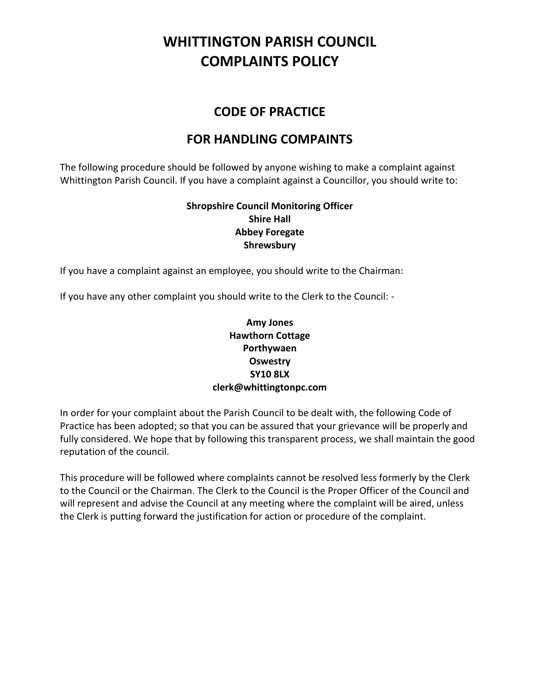## **WHITTINGTON PARISH COUNCIL COMPLAINTS POLICY**

### **CODE OF PRACTICE**

### **FOR HANDLING COMPAINTS**

The following procedure should be followed by anyone wishing to make a complaint against Whittington Parish Council. If you have a complaint against a Councillor, you should write to:

> **Shropshire Council Monitoring Officer Shire Hall Abbey Foregate Shrewsbury**

If you have a complaint against an employee, you should write to the Chairman:

If you have any other complaint you should write to the Clerk to the Council: -

#### **Amy Jones Hawthorn Cottage Porthywaen Oswestry SY10 8LX clerk@whittingtonpc.com**

In order for your complaint about the Parish Council to be dealt with, the following Code of Practice has been adopted; so that you can be assured that your grievance will be properly and fully considered. We hope that by following this transparent process, we shall maintain the good reputation of the council.

This procedure will be followed where complaints cannot be resolved less formerly by the Clerk to the Council or the Chairman. The Clerk to the Council is the Proper Officer of the Council and will represent and advise the Council at any meeting where the complaint will be aired, unless the Clerk is putting forward the justification for action or procedure of the complaint.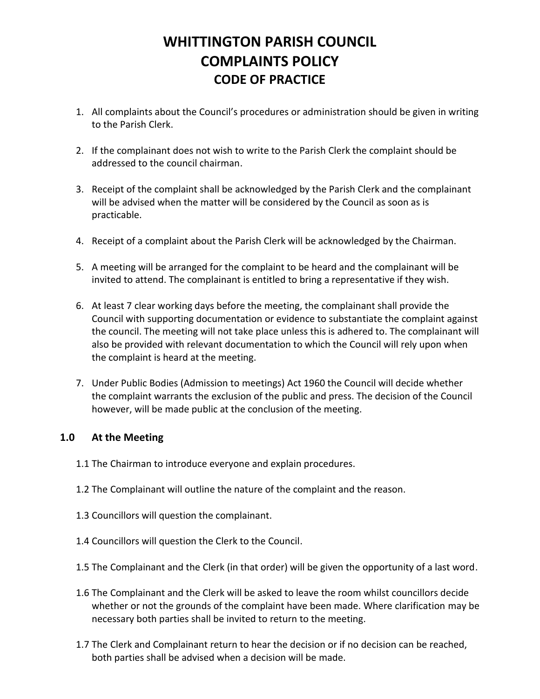### **WHITTINGTON PARISH COUNCIL COMPLAINTS POLICY CODE OF PRACTICE**

- 1. All complaints about the Council's procedures or administration should be given in writing to the Parish Clerk.
- 2. If the complainant does not wish to write to the Parish Clerk the complaint should be addressed to the council chairman.
- 3. Receipt of the complaint shall be acknowledged by the Parish Clerk and the complainant will be advised when the matter will be considered by the Council as soon as is practicable.
- 4. Receipt of a complaint about the Parish Clerk will be acknowledged by the Chairman.
- 5. A meeting will be arranged for the complaint to be heard and the complainant will be invited to attend. The complainant is entitled to bring a representative if they wish.
- 6. At least 7 clear working days before the meeting, the complainant shall provide the Council with supporting documentation or evidence to substantiate the complaint against the council. The meeting will not take place unless this is adhered to. The complainant will also be provided with relevant documentation to which the Council will rely upon when the complaint is heard at the meeting.
- 7. Under Public Bodies (Admission to meetings) Act 1960 the Council will decide whether the complaint warrants the exclusion of the public and press. The decision of the Council however, will be made public at the conclusion of the meeting.

#### **1.0 At the Meeting**

- 1.1 The Chairman to introduce everyone and explain procedures.
- 1.2 The Complainant will outline the nature of the complaint and the reason.
- 1.3 Councillors will question the complainant.
- 1.4 Councillors will question the Clerk to the Council.
- 1.5 The Complainant and the Clerk (in that order) will be given the opportunity of a last word.
- 1.6 The Complainant and the Clerk will be asked to leave the room whilst councillors decide whether or not the grounds of the complaint have been made. Where clarification may be necessary both parties shall be invited to return to the meeting.
- 1.7 The Clerk and Complainant return to hear the decision or if no decision can be reached, both parties shall be advised when a decision will be made.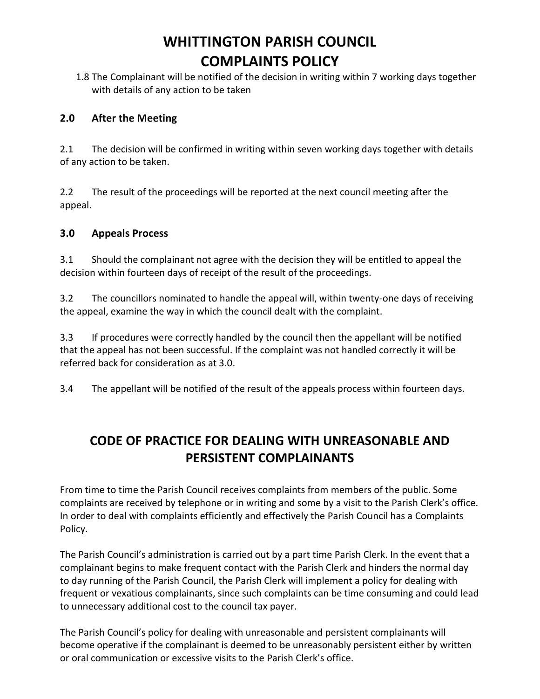## **WHITTINGTON PARISH COUNCIL COMPLAINTS POLICY**

1.8 The Complainant will be notified of the decision in writing within 7 working days together with details of any action to be taken

#### **2.0 After the Meeting**

2.1 The decision will be confirmed in writing within seven working days together with details of any action to be taken.

2.2 The result of the proceedings will be reported at the next council meeting after the appeal.

#### **3.0 Appeals Process**

3.1 Should the complainant not agree with the decision they will be entitled to appeal the decision within fourteen days of receipt of the result of the proceedings.

3.2 The councillors nominated to handle the appeal will, within twenty-one days of receiving the appeal, examine the way in which the council dealt with the complaint.

3.3 If procedures were correctly handled by the council then the appellant will be notified that the appeal has not been successful. If the complaint was not handled correctly it will be referred back for consideration as at 3.0.

3.4 The appellant will be notified of the result of the appeals process within fourteen days.

### **CODE OF PRACTICE FOR DEALING WITH UNREASONABLE AND PERSISTENT COMPLAINANTS**

From time to time the Parish Council receives complaints from members of the public. Some complaints are received by telephone or in writing and some by a visit to the Parish Clerk's office. In order to deal with complaints efficiently and effectively the Parish Council has a Complaints Policy.

The Parish Council's administration is carried out by a part time Parish Clerk. In the event that a complainant begins to make frequent contact with the Parish Clerk and hinders the normal day to day running of the Parish Council, the Parish Clerk will implement a policy for dealing with frequent or vexatious complainants, since such complaints can be time consuming and could lead to unnecessary additional cost to the council tax payer.

The Parish Council's policy for dealing with unreasonable and persistent complainants will become operative if the complainant is deemed to be unreasonably persistent either by written or oral communication or excessive visits to the Parish Clerk's office.